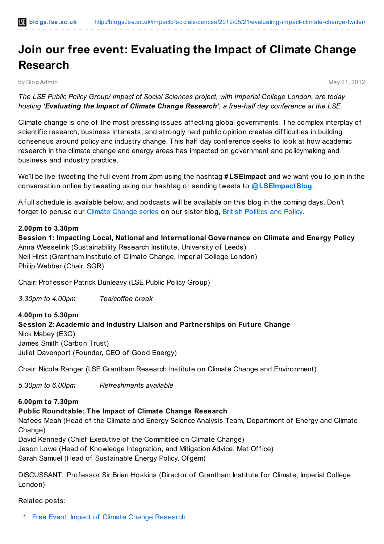# **Join our free event: Evaluating the Impact of Climate Change Research**

by Blog Admin May 21, 2012

*The LSE Public Policy Group/ Impact of Social Sciences project, with Imperial College London, are today hosting 'Evaluating the Impact of Climate Change Research', a free-half day conference at the LSE.*

Climate change is one of the most pressing issues affecting global governments. The complex interplay of scientific research, business interests, and strongly held public opinion creates difficulties in building consensus around policy and industry change. This half day conf erence seeks to look at how academic research in the climate change and energy areas has impacted on government and policymaking and business and industry practice.

We'll be live-tweeting the full event from 2pm using the hashtag **#LSEImpact** and we want you to join in the conversation online by tweeting using our hashtag or sending tweets to **[@LSEImpactBlog](http://twitter.com/#!/lseimpactblog)**.

A f ull schedule is available below, and podcasts will be available on this blog in the coming days. Don't f orget to peruse our Climate [Change](http://blogs.lse.ac.uk/politicsandpolicy/tag/bpp-climate-change-series/) series on our sister blog, British [Politics](http://blogs.lse.ac.uk/politicsandpolicy/) and Policy.

# **2.00pm to 3.30pm**

**Session 1: Impacting Local, National and International Governance on Climate and Energy Policy** Anna Wesselink (Sustainability Research Institute, University of Leeds) Neil Hirst (Grantham Institute of Climate Change, Imperial College London) Philip Webber (Chair, SGR)

Chair: Prof essor Patrick Dunleavy (LSE Public Policy Group)

*3.30pm to 4.00pm Tea/coffee break*

**4.00pm to 5.30pm Session 2: Academic and Industry Liaison and Partnerships on Future Change** Nick Mabey (E3G) James Smith (Carbon Trust) Juliet Davenport (Founder, CEO of Good Energy)

Chair: Nicola Ranger (LSE Grantham Research Institute on Climate Change and Environment)

*5.30pm to 6.00pm Refreshments available*

### **6.00pm to 7.30pm**

# **Public Roundtable: The Impact of Climate Change Research**

Naf ees Meah (Head of the Climate and Energy Science Analysis Team, Department of Energy and Climate Change)

David Kennedy (Chief Executive of the Committee on Climate Change) Jason Lowe (Head of Knowledge Integration, and Mitigation Advice, Met Office) Sarah Samuel (Head of Sustainable Energy Policy, Of gem)

DISCUSSANT: Professor Sir Brian Hoskins (Director of Grantham Institute for Climate, Imperial College London)

### Related posts:

1. Free Event: Impact of Climate Change [Research](http://blogs.lse.ac.uk/impactofsocialsciences/2012/05/09/free-event-impact-of-climate-change-research/)